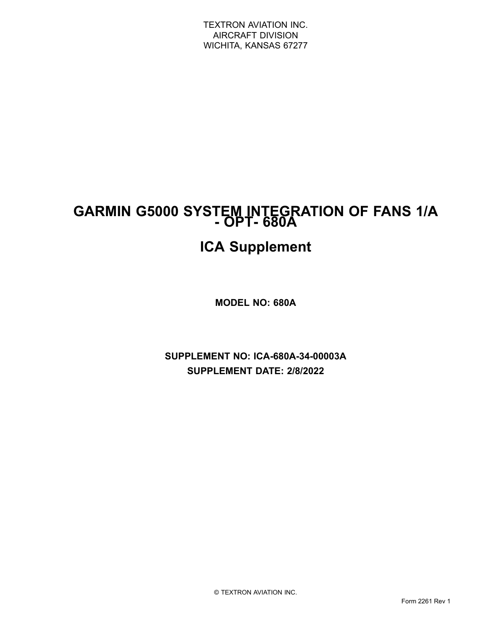## **GARMIN G5000 SYSTEM INTEGRATION OF FANS 1/A - OPT- 680A**

# **ICA Supplement**

**MODEL NO: 680A**

**SUPPLEMENT NO: ICA-680A-34-00003A SUPPLEMENT DATE: 2/8/2022**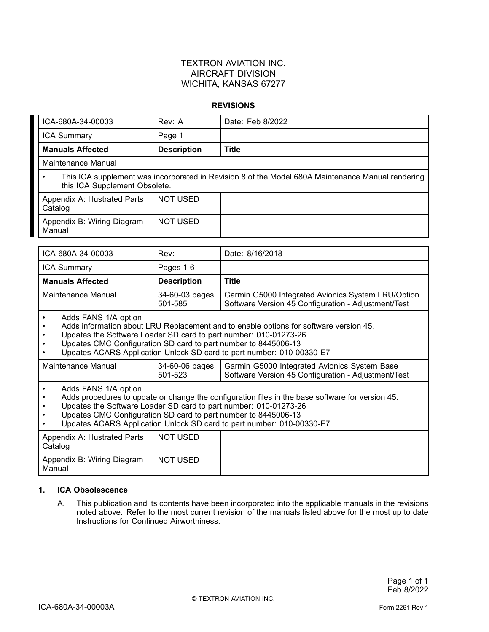### TEXTRON AVIATION INC. AIRCRAFT DIVISION WICHITA, KANSAS 67277

#### **REVISIONS**

| ICA-680A-34-00003                                                                                                                                                                     | Rev: A                    | Date: Feb 8/2022                                                                                                                                                          |
|---------------------------------------------------------------------------------------------------------------------------------------------------------------------------------------|---------------------------|---------------------------------------------------------------------------------------------------------------------------------------------------------------------------|
| <b>ICA Summary</b>                                                                                                                                                                    | Page 1                    |                                                                                                                                                                           |
| <b>Manuals Affected</b>                                                                                                                                                               | <b>Description</b>        | <b>Title</b>                                                                                                                                                              |
| <b>Maintenance Manual</b>                                                                                                                                                             |                           |                                                                                                                                                                           |
| $\bullet$<br>this ICA Supplement Obsolete.                                                                                                                                            |                           | This ICA supplement was incorporated in Revision 8 of the Model 680A Maintenance Manual rendering                                                                         |
| Appendix A: Illustrated Parts<br>Catalog                                                                                                                                              | <b>NOT USED</b>           |                                                                                                                                                                           |
| Appendix B: Wiring Diagram<br>Manual                                                                                                                                                  | <b>NOT USED</b>           |                                                                                                                                                                           |
|                                                                                                                                                                                       |                           |                                                                                                                                                                           |
| ICA-680A-34-00003                                                                                                                                                                     | $Rev: -$                  | Date: 8/16/2018                                                                                                                                                           |
| <b>ICA Summary</b>                                                                                                                                                                    | Pages 1-6                 |                                                                                                                                                                           |
| <b>Manuals Affected</b>                                                                                                                                                               | <b>Description</b>        | <b>Title</b>                                                                                                                                                              |
| <b>Maintenance Manual</b>                                                                                                                                                             | 34-60-03 pages<br>501-585 | Garmin G5000 Integrated Avionics System LRU/Option<br>Software Version 45 Configuration - Adjustment/Test                                                                 |
| Adds FANS 1/A option<br>$\bullet$<br>$\bullet$<br>Updates the Software Loader SD card to part number: 010-01273-26<br>Updates CMC Configuration SD card to part number to 8445006-13  |                           | Adds information about LRU Replacement and to enable options for software version 45.<br>Updates ACARS Application Unlock SD card to part number: 010-00330-E7            |
| <b>Maintenance Manual</b>                                                                                                                                                             | 34-60-06 pages<br>501-523 | Garmin G5000 Integrated Avionics System Base<br>Software Version 45 Configuration - Adjustment/Test                                                                       |
| Adds FANS 1/A option.<br>$\bullet$<br>$\bullet$<br>Updates the Software Loader SD card to part number: 010-01273-26<br>Updates CMC Configuration SD card to part number to 8445006-13 |                           | Adds procedures to update or change the configuration files in the base software for version 45.<br>Updates ACARS Application Unlock SD card to part number: 010-00330-E7 |
| Appendix A: Illustrated Parts<br>Catalog                                                                                                                                              | <b>NOT USED</b>           |                                                                                                                                                                           |
| Appendix B: Wiring Diagram<br>Manual                                                                                                                                                  | <b>NOT USED</b>           |                                                                                                                                                                           |

#### **1. ICA Obsolescence**

A. This publication and its contents have been incorporated into the applicable manuals in the revisions noted above. Refer to the most current revision of the manuals listed above for the most up to date Instructions for Continued Airworthiness.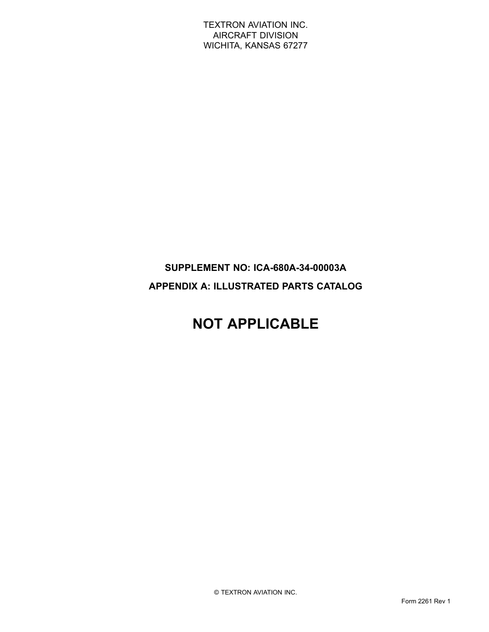TEXTRON AVIATION INC. AIRCRAFT DIVISION WICHITA, KANSAS 67277

### **SUPPLEMENT NO: ICA-680A-34-00003A APPENDIX A: ILLUSTRATED PARTS CATALOG**

## **NOT APPLICABLE**